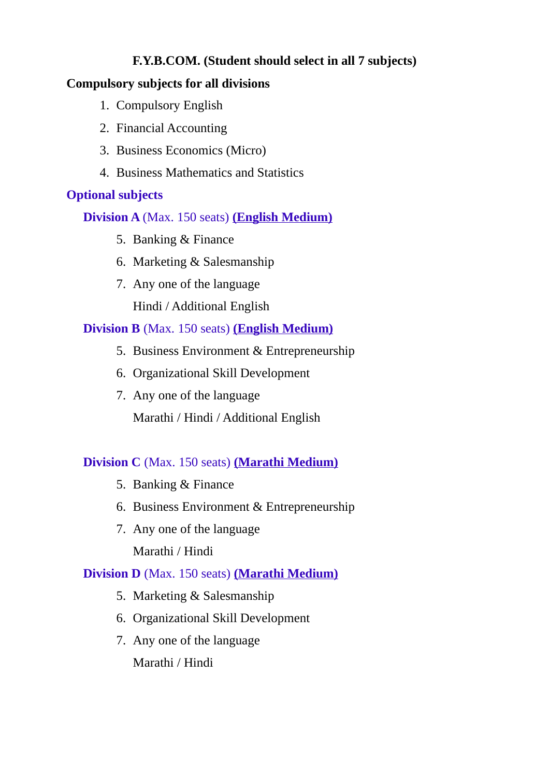# **F.Y.B.COM. (Student should select in all 7 subjects)**

# **Compulsory subjects for all divisions**

- 1. Compulsory English
- 2. Financial Accounting
- 3. Business Economics (Micro)
- 4. Business Mathematics and Statistics

# **Optional subjects**

**Division A** (Max. 150 seats) **(English Medium)**

- 5. Banking & Finance
- 6. Marketing & Salesmanship
- 7. Any one of the language

Hindi / Additional English

# **Division B** (Max. 150 seats) **(English Medium)**

- 5. Business Environment & Entrepreneurship
- 6. Organizational Skill Development
- 7. Any one of the language Marathi / Hindi / Additional English

# **Division C** (Max. 150 seats) **(Marathi Medium)**

- 5. Banking & Finance
- 6. Business Environment & Entrepreneurship
- 7. Any one of the language Marathi / Hindi

## **Division D** (Max. 150 seats) **(Marathi Medium)**

- 5. Marketing & Salesmanship
- 6. Organizational Skill Development
- 7. Any one of the language

Marathi / Hindi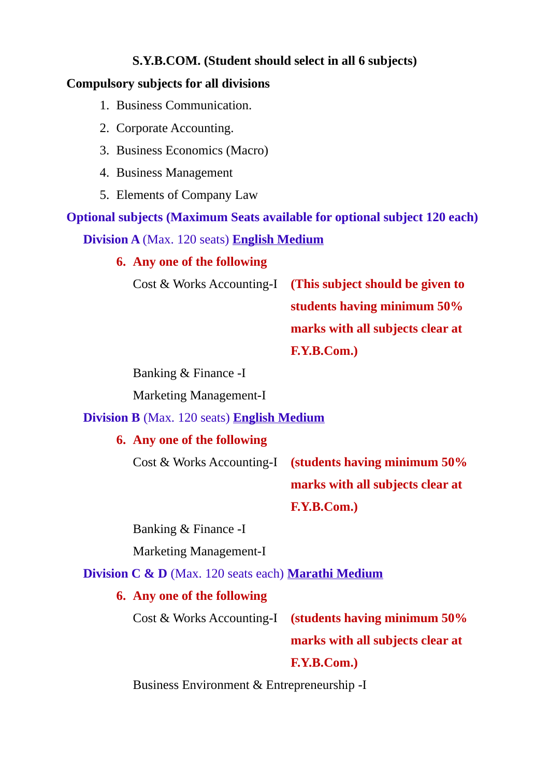# **S.Y.B.COM. (Student should select in all 6 subjects)**

### **Compulsory subjects for all divisions**

- 1. Business Communication.
- 2. Corporate Accounting.
- 3. Business Economics (Macro)
- 4. Business Management
- 5. Elements of Company Law

**Optional subjects (Maximum Seats available for optional subject 120 each) Division A** (Max. 120 seats) **English Medium**

**6. Any one of the following**

Cost & Works Accounting-I **(This subject should be given to** 

**students having minimum 50% marks with all subjects clear at F.Y.B.Com.)**

Banking & Finance -I

Marketing Management-I

#### **Division B** (Max. 120 seats) **English Medium**

### **6. Any one of the following**

Cost & Works Accounting-I **(students having minimum 50%** 

**marks with all subjects clear at F.Y.B.Com.)**

Banking & Finance -I

Marketing Management-I

**Division C & D** (Max. 120 seats each) **Marathi Medium**

### **6. Any one of the following**

Cost & Works Accounting-I **(students having minimum 50% marks with all subjects clear at F.Y.B.Com.)**

Business Environment & Entrepreneurship -I